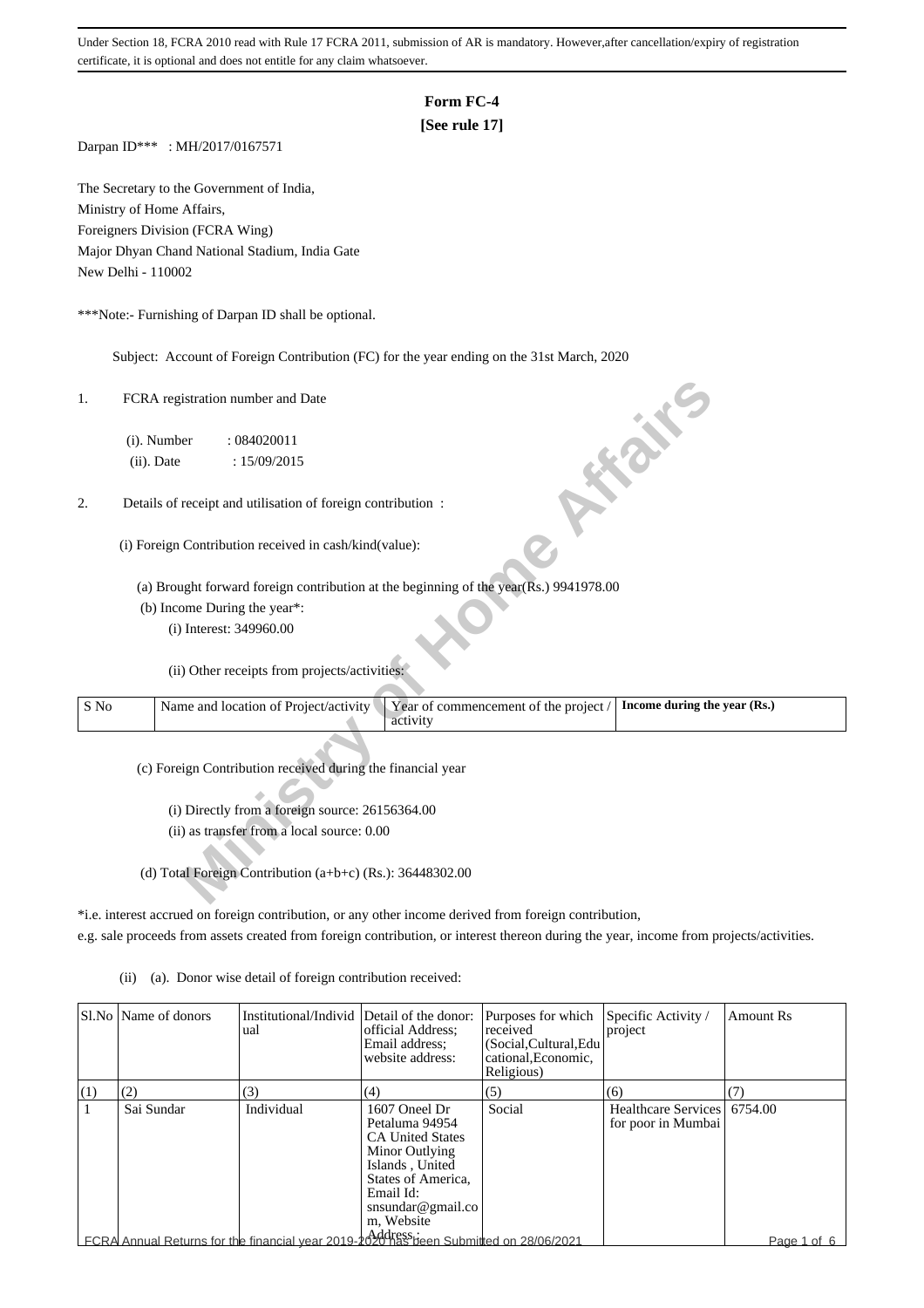### **Form FC-4**

### **[See rule 17]**

Darpan ID\*\*\* : MH/2017/0167571

The Secretary to the Government of India, Ministry of Home Affairs, Foreigners Division (FCRA Wing) Major Dhyan Chand National Stadium, India Gate New Delhi - 110002

\*\*\*Note:- Furnishing of Darpan ID shall be optional.

Subject: Account of Foreign Contribution (FC) for the year ending on the 31st March, 2020

| 1.   | FCRA registration number and Date                                                     | ish.                                                                  |
|------|---------------------------------------------------------------------------------------|-----------------------------------------------------------------------|
|      | (i). Number<br>: 084020011                                                            |                                                                       |
|      | (ii). Date<br>: 15/09/2015                                                            |                                                                       |
|      |                                                                                       |                                                                       |
| 2.   | Details of receipt and utilisation of foreign contribution :                          |                                                                       |
|      |                                                                                       |                                                                       |
|      | (i) Foreign Contribution received in cash/kind(value):                                |                                                                       |
|      | (a) Brought forward foreign contribution at the beginning of the year(Rs.) 9941978.00 |                                                                       |
|      |                                                                                       |                                                                       |
|      | (b) Income During the year*:                                                          |                                                                       |
|      | (i) Interest: 349960.00                                                               |                                                                       |
|      | (ii) Other receipts from projects/activities:                                         |                                                                       |
| S No | Name and location of Project/activity<br>activity                                     | Year of commencement of the project /<br>Income during the year (Rs.) |
|      | (c) Foreign Contribution received during the financial year                           |                                                                       |
|      | (i) Directly from a foreign source: 26156364.00                                       |                                                                       |
|      |                                                                                       |                                                                       |
|      | (ii) as transfer from a local source: 0.00                                            |                                                                       |
|      |                                                                                       |                                                                       |
|      | (d) Total Foreign Contribution (a+b+c) (Rs.): 36448302.00                             |                                                                       |

\*i.e. interest accrued on foreign contribution, or any other income derived from foreign contribution,

e.g. sale proceeds from assets created from foreign contribution, or interest thereon during the year, income from projects/activities.

(ii) (a). Donor wise detail of foreign contribution received:

|     | SI.No   Name of donors | Institutional/Individ Detail of the donor:<br>ual                                     | official Address;<br>Email address:<br>website address:                                                                                                               | Purposes for which<br>received<br>(Social, Cultural, Edu<br>cational, Economic,<br>Religious) | Specific Activity /<br>project                    | Amount Rs   |
|-----|------------------------|---------------------------------------------------------------------------------------|-----------------------------------------------------------------------------------------------------------------------------------------------------------------------|-----------------------------------------------------------------------------------------------|---------------------------------------------------|-------------|
| (1) | (2)                    | (3)                                                                                   | (4)                                                                                                                                                                   | (5)                                                                                           | (6)                                               |             |
|     | Sai Sundar             | Individual                                                                            | 1607 Oneel Dr<br>Petaluma 94954<br><b>CA United States</b><br>Minor Outlying<br>Islands, United<br>States of America,<br>Email Id:<br>snsundar@gmail.co<br>m. Website | Social                                                                                        | Healthcare Services 6754.00<br>for poor in Mumbai |             |
|     |                        | FCRA Annual Returns for the financial year 2019-2020 has been Submitted on 28/06/2021 |                                                                                                                                                                       |                                                                                               |                                                   | Page 1 of 6 |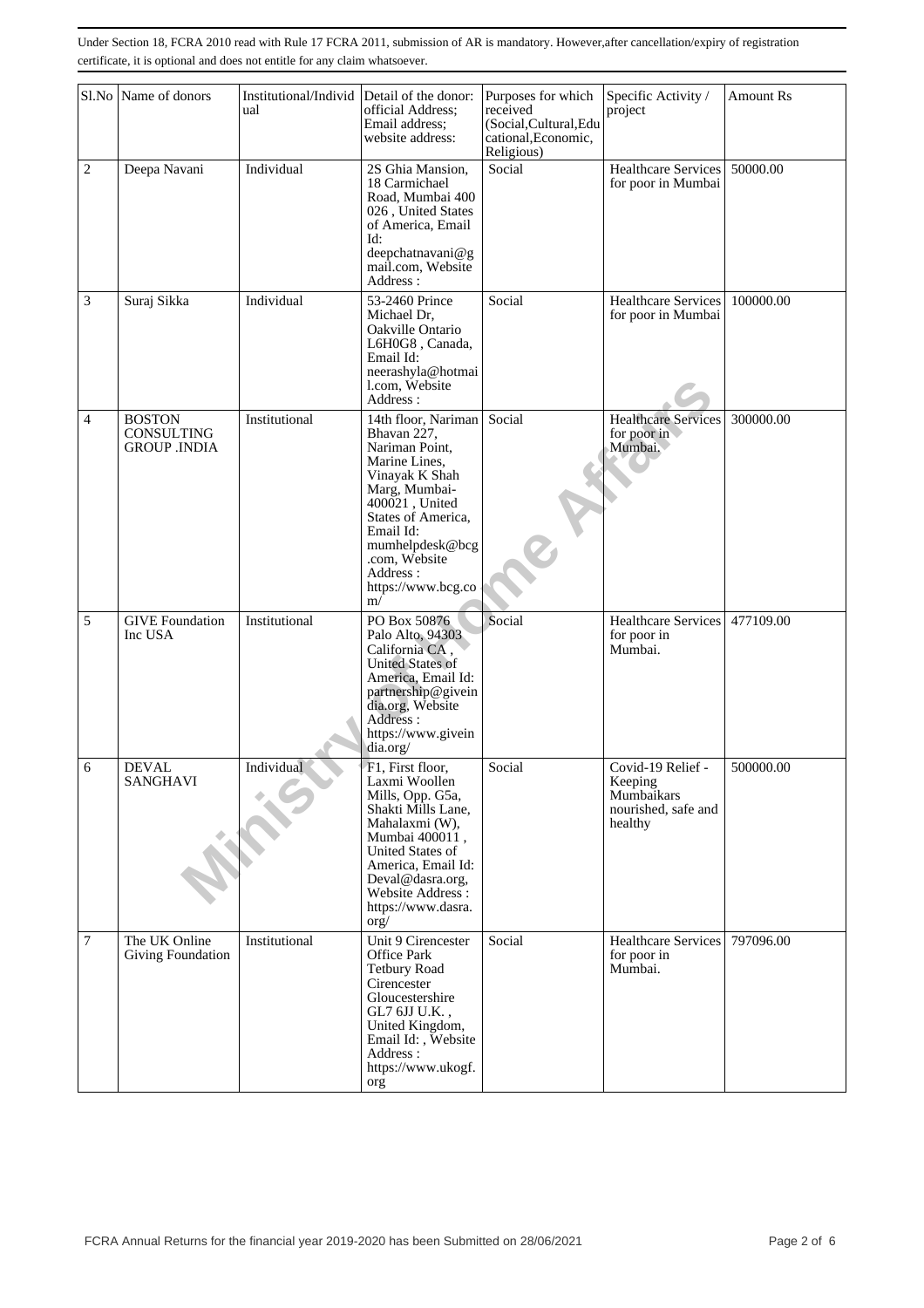|                | Sl.No Name of donors                               | Institutional/Individ Detail of the donor:<br>ual | official Address;<br>Email address;<br>website address:                                                                                                                                                                                   | Purposes for which<br>received<br>(Social, Cultural, Edu<br>cational, Economic,<br>Religious) | Specific Activity /<br>project                                               | <b>Amount Rs</b> |
|----------------|----------------------------------------------------|---------------------------------------------------|-------------------------------------------------------------------------------------------------------------------------------------------------------------------------------------------------------------------------------------------|-----------------------------------------------------------------------------------------------|------------------------------------------------------------------------------|------------------|
| 2              | Deepa Navani                                       | Individual                                        | 2S Ghia Mansion,<br>18 Carmichael<br>Road, Mumbai 400<br>026, United States<br>of America, Email<br>Id:<br>deepchatnavani@g<br>mail.com, Website<br>Address:                                                                              | Social                                                                                        | Healthcare Services<br>for poor in Mumbai                                    | 50000.00         |
| 3              | Suraj Sikka                                        | Individual                                        | 53-2460 Prince<br>Michael Dr,<br>Oakville Ontario<br>L6H0G8, Canada,<br>Email Id:<br>neerashyla@hotmai<br>l.com, Website<br>Address:                                                                                                      | Social                                                                                        | Healthcare Services<br>for poor in Mumbai                                    | 100000.00        |
| $\overline{4}$ | <b>BOSTON</b><br>CONSULTING<br><b>GROUP .INDIA</b> | Institutional                                     | 14th floor, Nariman<br>Bhavan 227,<br>Nariman Point,<br>Marine Lines,<br>Vinayak K Shah<br>Marg, Mumbai-<br>400021, United<br>States of America,<br>Email Id:<br>mumhelpdesk@bcg<br>.com, Website<br>Address:<br>https://www.bcg.co<br>m/ | Social                                                                                        | <b>Healthcare Services</b><br>for poor in<br>Mumbai.                         | 300000.00        |
| 5              | <b>GIVE</b> Foundation<br>Inc USA                  | Institutional                                     | PO Box 50876<br>Palo Alto, 94303<br>California CA,<br><b>United States of</b><br>America, Email Id:<br>partnership@givein<br>dia.org, Website<br>Address:<br>https://www.givein<br>dia.org/                                               | Social                                                                                        | Healthcare Services<br>for poor in<br>Mumbai.                                | 477109.00        |
| 6              | <b>DEVAL</b><br><b>SANGHAVI</b>                    | Individual                                        | F1, First floor,<br>Laxmi Woollen<br>Mills, Opp. G5a,<br>Shakti Mills Lane,<br>Mahalaxmi (W),<br>Mumbai 400011,<br>United States of<br>America, Email Id:<br>Deval@dasra.org,<br>Website Address:<br>https://www.dasra.<br>org/           | Social                                                                                        | Covid-19 Relief -<br>Keeping<br>Mumbaikars<br>nourished, safe and<br>healthy | 500000.00        |
| $\overline{7}$ | The UK Online<br><b>Giving Foundation</b>          | Institutional                                     | Unit 9 Cirencester<br>Office Park<br><b>Tetbury Road</b><br>Cirencester<br>Gloucestershire<br>GL7 6JJ U.K.,<br>United Kingdom,<br>Email Id:, Website<br>Address :<br>https://www.ukogf.<br>org                                            | Social                                                                                        | Healthcare Services<br>for poor in<br>Mumbai.                                | 797096.00        |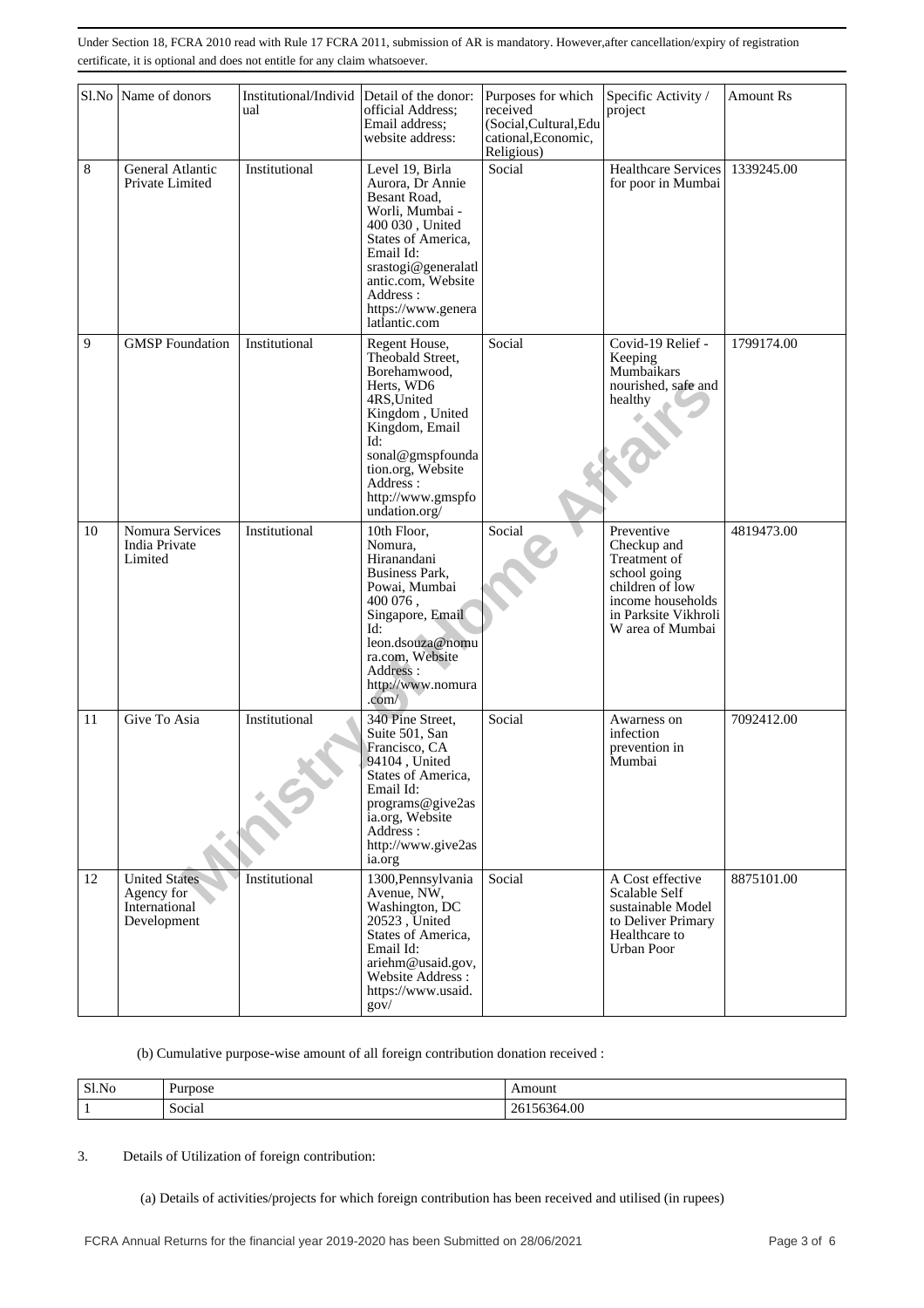| Sl.No | Name of donors                                                     | Institutional/Individ | Detail of the donor:                                                                                                                                                                                                         | Purposes for which                                                      | Specific Activity /                                                                                                                           | <b>Amount Rs</b> |
|-------|--------------------------------------------------------------------|-----------------------|------------------------------------------------------------------------------------------------------------------------------------------------------------------------------------------------------------------------------|-------------------------------------------------------------------------|-----------------------------------------------------------------------------------------------------------------------------------------------|------------------|
|       |                                                                    | ual                   | official Address;<br>Email address:<br>website address:                                                                                                                                                                      | received<br>(Social, Cultural, Edu<br>cational, Economic,<br>Religious) | project                                                                                                                                       |                  |
| 8     | General Atlantic<br>Private Limited                                | Institutional         | Level 19, Birla<br>Aurora, Dr Annie<br>Besant Road,<br>Worli, Mumbai -<br>400 030, United<br>States of America,<br>Email Id:<br>srastogi@generalatl<br>antic.com, Website<br>Address:<br>https://www.genera<br>latlantic.com | Social                                                                  | Healthcare Services<br>for poor in Mumbai                                                                                                     | 1339245.00       |
| 9     | <b>GMSP</b> Foundation                                             | Institutional         | Regent House,<br>Theobald Street,<br>Borehamwood,<br>Herts, WD6<br>4RS, United<br>Kingdom, United<br>Kingdom, Email<br>Id:<br>sonal@gmspfounda<br>tion.org, Website<br>Address:<br>http://www.gmspfo<br>undation.org/        | Social                                                                  | Covid-19 Relief -<br>Keeping<br>Mumbaikars<br>nourished, safe and<br>healthy                                                                  | 1799174.00       |
| 10    | Nomura Services<br>India Private<br>Limited                        | Institutional         | 10th Floor,<br>Nomura,<br>Hiranandani<br>Business Park,<br>Powai, Mumbai<br>400 076,<br>Singapore, Email<br>Id:<br>leon.dsouza@nomu<br>ra.com, Website<br>Address:<br>http://www.nomura<br>.com/                             | Social                                                                  | Preventive<br>Checkup and<br>Treatment of<br>school going<br>children of low<br>income households<br>in Parksite Vikhroli<br>W area of Mumbai | 4819473.00       |
| 11    | Give To Asia                                                       | Institutional         | 340 Pine Street,<br>Suite 501, San<br>Francisco, CA<br>94104, United<br>States of America,<br>Email Id:<br>programs@give2as<br>ia.org, Website<br>Address :<br>http://www.give2as<br>ia.org                                  | Social                                                                  | Awarness on<br>infection<br>prevention in<br>Mumbai                                                                                           | 7092412.00       |
| 12    | <b>United States</b><br>Agency for<br>International<br>Development | Institutional         | 1300, Pennsylvania<br>Avenue, NW,<br>Washington, DC<br>20523, United<br>States of America,<br>Email Id:<br>ariehm@usaid.gov,<br>Website Address:<br>https://www.usaid.<br>gov/                                               | Social                                                                  | A Cost effective<br>Scalable Self<br>sustainable Model<br>to Deliver Primary<br>Healthcare to<br><b>Urban Poor</b>                            | 8875101.00       |

#### (b) Cumulative purpose-wise amount of all foreign contribution donation received :

| Sl.No | Purpose | Amount                   |
|-------|---------|--------------------------|
|       | Social  | 56364.00<br>$20^{\circ}$ |

#### 3. Details of Utilization of foreign contribution:

(a) Details of activities/projects for which foreign contribution has been received and utilised (in rupees)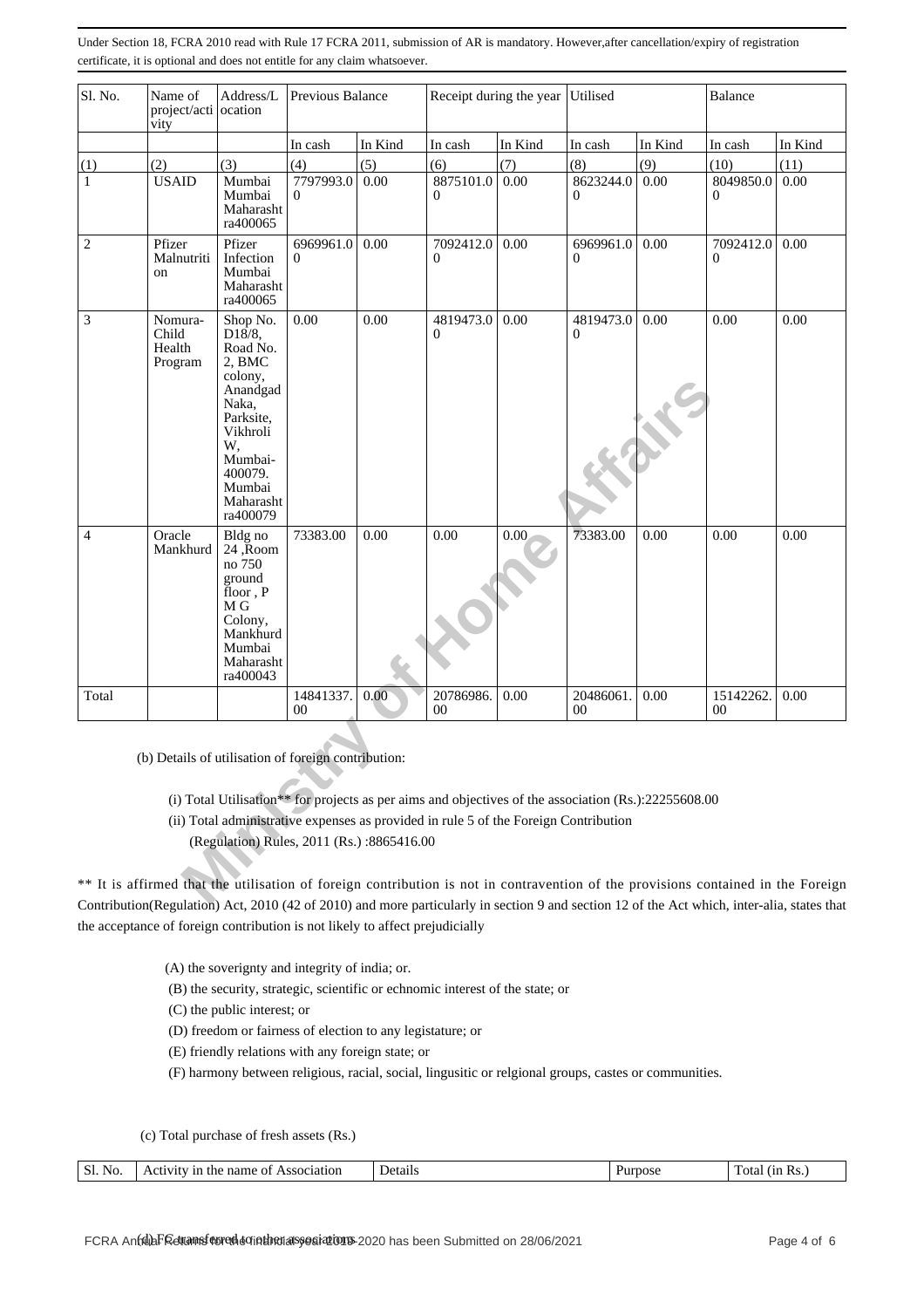| Sl. No.        | Address/L<br>Name of<br>Previous Balance<br>project/acti ocation<br>vity                                                          |                                                                                                                                                                  |                       |         | Receipt during the year                                                                                                                                                                         | Utilised |                           | Balance |                             |         |
|----------------|-----------------------------------------------------------------------------------------------------------------------------------|------------------------------------------------------------------------------------------------------------------------------------------------------------------|-----------------------|---------|-------------------------------------------------------------------------------------------------------------------------------------------------------------------------------------------------|----------|---------------------------|---------|-----------------------------|---------|
|                |                                                                                                                                   |                                                                                                                                                                  | In cash               | In Kind | In cash                                                                                                                                                                                         | In Kind  | In cash                   | In Kind | In cash                     | In Kind |
| (1)            | (2)                                                                                                                               | (3)                                                                                                                                                              | (4)                   | (5)     | (6)                                                                                                                                                                                             | (7)      | (8)                       | (9)     | (10)                        | (11)    |
| 1              | <b>USAID</b>                                                                                                                      | Mumbai<br>Mumbai<br>Maharasht<br>ra400065                                                                                                                        | 7797993.0<br>0        | 0.00    | 8875101.0<br>0                                                                                                                                                                                  | 0.00     | 8623244.0<br>$\Omega$     | 0.00    | 8049850.0<br>$\overline{0}$ | 0.00    |
| $\mathbf{2}$   | Pfizer<br>Malnutriti<br>on                                                                                                        | Pfizer<br>Infection<br>Mumbai<br>Maharasht<br>ra400065                                                                                                           | 6969961.0<br>$\Omega$ | 0.00    | 7092412.0<br>$\Omega$                                                                                                                                                                           | 0.00     | 6969961.0<br>$\Omega$     | 0.00    | 7092412.0<br>0              | 0.00    |
| 3              | Nomura-<br>Child<br>Health<br>Program                                                                                             | Shop No.<br>D18/8,<br>Road No.<br>2, BMC<br>colony,<br>Anandgad<br>Naka,<br>Parksite,<br>Vikhroli<br>W,<br>Mumbai-<br>400079.<br>Mumbai<br>Maharasht<br>ra400079 | 0.00                  | 0.00    | 4819473.0<br>$\Omega$                                                                                                                                                                           | 0.00     | 4819473.0<br>$\mathbf{0}$ | 0.00    | 0.00                        | 0.00    |
| $\overline{4}$ | Oracle<br>Mankhurd                                                                                                                | Bldg no<br>$24,$ $\bar{R}$ oom<br>no 750<br>ground<br>$\text{floor}, \text{P}$<br>M G<br>Colony,<br>Mankhurd<br>Mumbai<br>Maharasht<br>ra400043                  | 73383.00              | 0.00    | 0.00                                                                                                                                                                                            | 0.00     | 73383.00                  | 0.00    | 0.00                        | 0.00    |
| Total          |                                                                                                                                   |                                                                                                                                                                  | 14841337.<br>$00\,$   | 0.00    | 20786986.<br>00                                                                                                                                                                                 | 0.00     | 20486061.<br>$00\,$       | 0.00    | 15142262.<br>$00\,$         | 0.00    |
|                | (b) Details of utilisation of foreign contribution:                                                                               | (Regulation) Rules, 2011 (Rs.):8865416.00                                                                                                                        |                       |         | (i) Total Utilisation** for projects as per aims and objectives of the association $(Rs.)$ :22255608.00<br>(ii) Total administrative expenses as provided in rule 5 of the Foreign Contribution |          |                           |         |                             |         |
|                | ** It is affirmed that the utilisation of foreign contribution is not in contravention of the provisions contained in the Foreign |                                                                                                                                                                  |                       |         | $1.41$ ) A $\pm$ 2010 (42 $\pm$ 2010) and many neutral solving continue $0$ and action 12 $\pm$ 6ths. A starbight integralia states that                                                        |          |                           |         |                             |         |

- (ii) Total administrative expenses as provided in rule 5 of the Foreign Contribution
	- (Regulation) Rules, 2011 (Rs.) :8865416.00

\*\* It is affirmed that the utilisation of foreign contribution is not in contravention of the provisions contained in the Foreign Contribution(Regulation) Act, 2010 (42 of 2010) and more particularly in section 9 and section 12 of the Act which, inter-alia, states that the acceptance of foreign contribution is not likely to affect prejudicially

- (A) the soverignty and integrity of india; or.
- (B) the security, strategic, scientific or echnomic interest of the state; or

(C) the public interest; or

- (D) freedom or fairness of election to any legistature; or
- (E) friendly relations with any foreign state; or

(F) harmony between religious, racial, social, lingusitic or relgional groups, castes or communities.

(c) Total purchase of fresh assets (Rs.)

| N<br>1r<br>Jets<br>ota<br><b>OSE</b><br>ĸ,<br>ssociation<br>$\Omega$<br>пат<br>une<br>ОI<br>.<br>ланг<br>.<br>. . |  |
|-------------------------------------------------------------------------------------------------------------------|--|
|-------------------------------------------------------------------------------------------------------------------|--|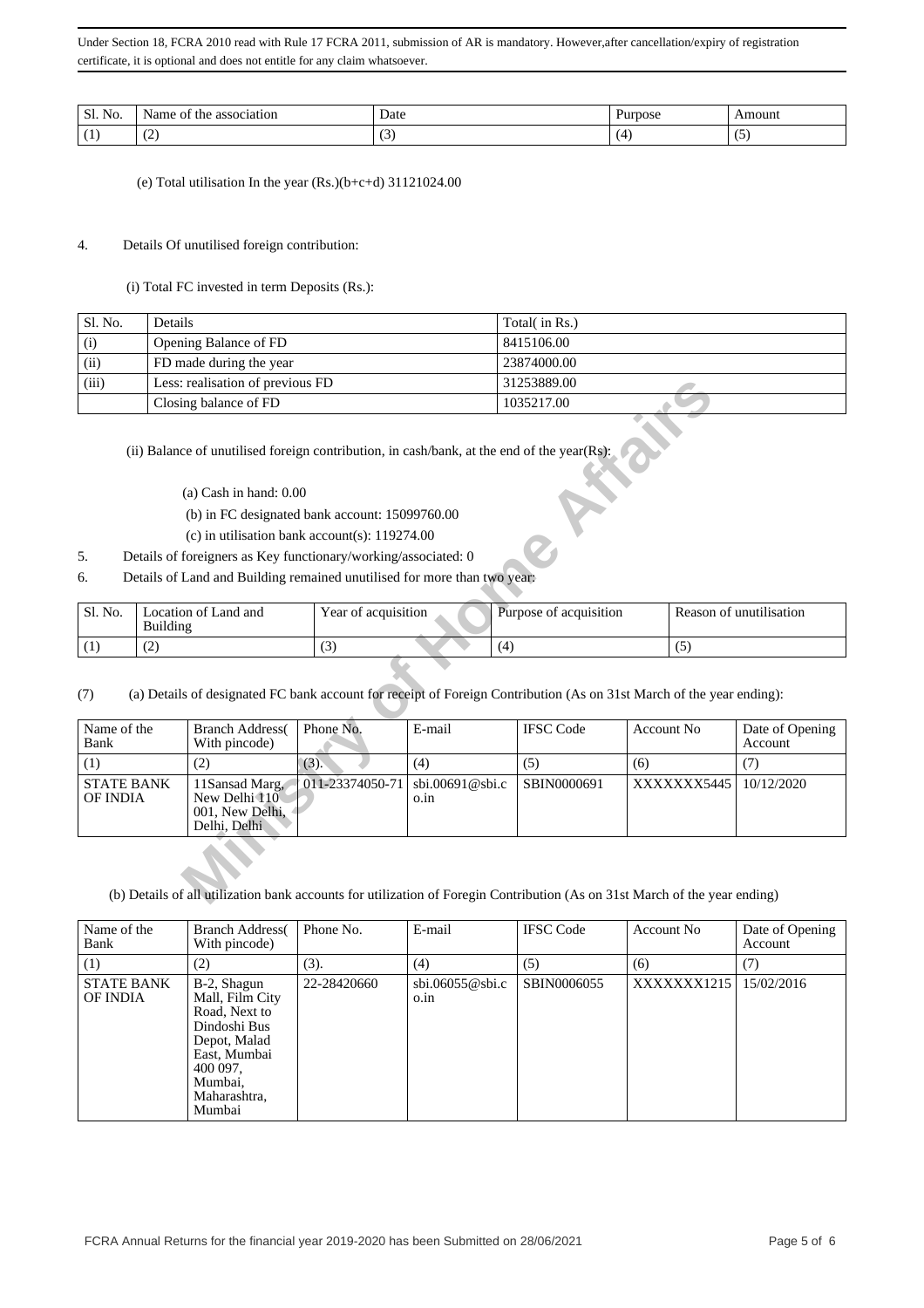| Sl.<br>No. | Aar<br>:1at10n<br>2880C1<br>*he<br>Οl | Date<br>. | ose<br>. | mount  |
|------------|---------------------------------------|-----------|----------|--------|
|            | ᠂                                     | ◡         |          | $\sim$ |

(e) Total utilisation In the year (Rs.)(b+c+d) 31121024.00

#### 4. Details Of unutilised foreign contribution:

(i) Total FC invested in term Deposits (Rs.):

| Sl. No. | Details                          | Total( in Rs.) |
|---------|----------------------------------|----------------|
| (i)     | Opening Balance of FD            | 8415106.00     |
| (ii)    | FD made during the year          | 23874000.00    |
| (iii)   | Less: realisation of previous FD | 31253889.00    |
|         | Closing balance of FD            | 1035217.00     |

- (b) in FC designated bank account: 15099760.00
- (c) in utilisation bank account(s): 119274.00
- 5. Details of foreigners as Key functionary/working/associated: 0
- 6. Details of Land and Building remained unutilised for more than two year:

| ' Sl. No. | Location of Land and<br>Building | Year of acquisition | Purpose of acquisition | Reason of unutilisation |
|-----------|----------------------------------|---------------------|------------------------|-------------------------|
|           | $\tilde{\phantom{a}}$<br>ے ا     | (3                  |                        |                         |

| (iii)                         |                 | Less: realisation of previous FD                                                                                                                               |                 |                         |            | 31253889.00            |             |             |                            |  |
|-------------------------------|-----------------|----------------------------------------------------------------------------------------------------------------------------------------------------------------|-----------------|-------------------------|------------|------------------------|-------------|-------------|----------------------------|--|
|                               |                 | Closing balance of FD                                                                                                                                          |                 |                         |            | 1035217.00             |             |             |                            |  |
|                               |                 | (ii) Balance of unutilised foreign contribution, in cash/bank, at the end of the year(Rs):                                                                     |                 |                         |            |                        |             |             |                            |  |
|                               |                 | $(a)$ Cash in hand: $0.00$                                                                                                                                     |                 |                         |            |                        |             |             |                            |  |
|                               |                 | (b) in FC designated bank account: 15099760.00                                                                                                                 |                 |                         |            |                        |             |             |                            |  |
|                               |                 | (c) in utilisation bank account(s): $119274.00$                                                                                                                |                 |                         |            |                        |             |             |                            |  |
| 5.                            |                 | Details of foreigners as Key functionary/working/associated: 0                                                                                                 |                 |                         |            |                        |             |             |                            |  |
| 6.                            |                 | Details of Land and Building remained unutilised for more than two year:                                                                                       |                 |                         |            |                        |             |             |                            |  |
| Sl. No.                       | <b>Building</b> | Location of Land and                                                                                                                                           |                 | Year of acquisition     |            | Purpose of acquisition |             |             | Reason of unutilisation    |  |
| (1)                           | (2)             |                                                                                                                                                                | (3)             |                         | (5)<br>(4) |                        |             |             |                            |  |
| (7)<br>Name of the<br>Bank    |                 | (a) Details of designated FC bank account for receipt of Foreign Contribution (As on 31st March of the year ending):<br><b>Branch Address</b><br>With pincode) | Phone No.       | E-mail                  |            | <b>IFSC Code</b>       | Account No. |             | Date of Opening<br>Account |  |
| (1)                           |                 | (2)                                                                                                                                                            | $(3)$ .         | (4)                     |            | (5)                    | (6)         |             | (7)                        |  |
| <b>STATE BANK</b><br>OF INDIA |                 | 11Sansad Marg,<br>New Delhi 110<br>001, New Delhi,<br>Delhi, Delhi                                                                                             | 011-23374050-71 | sbi.00691@sbi.c<br>o.in |            | SBIN0000691            |             | XXXXXXX5445 | 10/12/2020                 |  |
|                               |                 | (b) Details of all utilization bank accounts for utilization of Foregin Contribution (As on 31st March of the year ending)                                     |                 |                         |            |                        |             |             |                            |  |

| Name of the<br>Bank           | <b>Branch Address</b><br>With pincode)                                                                                                           | Phone No.   | E-mail                                        | <b>IFSC Code</b> | Account No  | Date of Opening<br>Account |
|-------------------------------|--------------------------------------------------------------------------------------------------------------------------------------------------|-------------|-----------------------------------------------|------------------|-------------|----------------------------|
| (1)                           | (2)                                                                                                                                              | (3).        | (4)                                           | (5)              | (6)         | (7)                        |
| <b>STATE BANK</b><br>OF INDIA | B-2, Shagun<br>Mall, Film City<br>Road, Next to<br>Dindoshi Bus<br>Depot, Malad<br>East, Mumbai<br>400 097,<br>Mumbai,<br>Maharashtra,<br>Mumbai | 22-28420660 | $\text{sbi.06055@sbi.c}$<br>$0.\overline{1}n$ | SBIN0006055      | XXXXXXX1215 | 15/02/2016                 |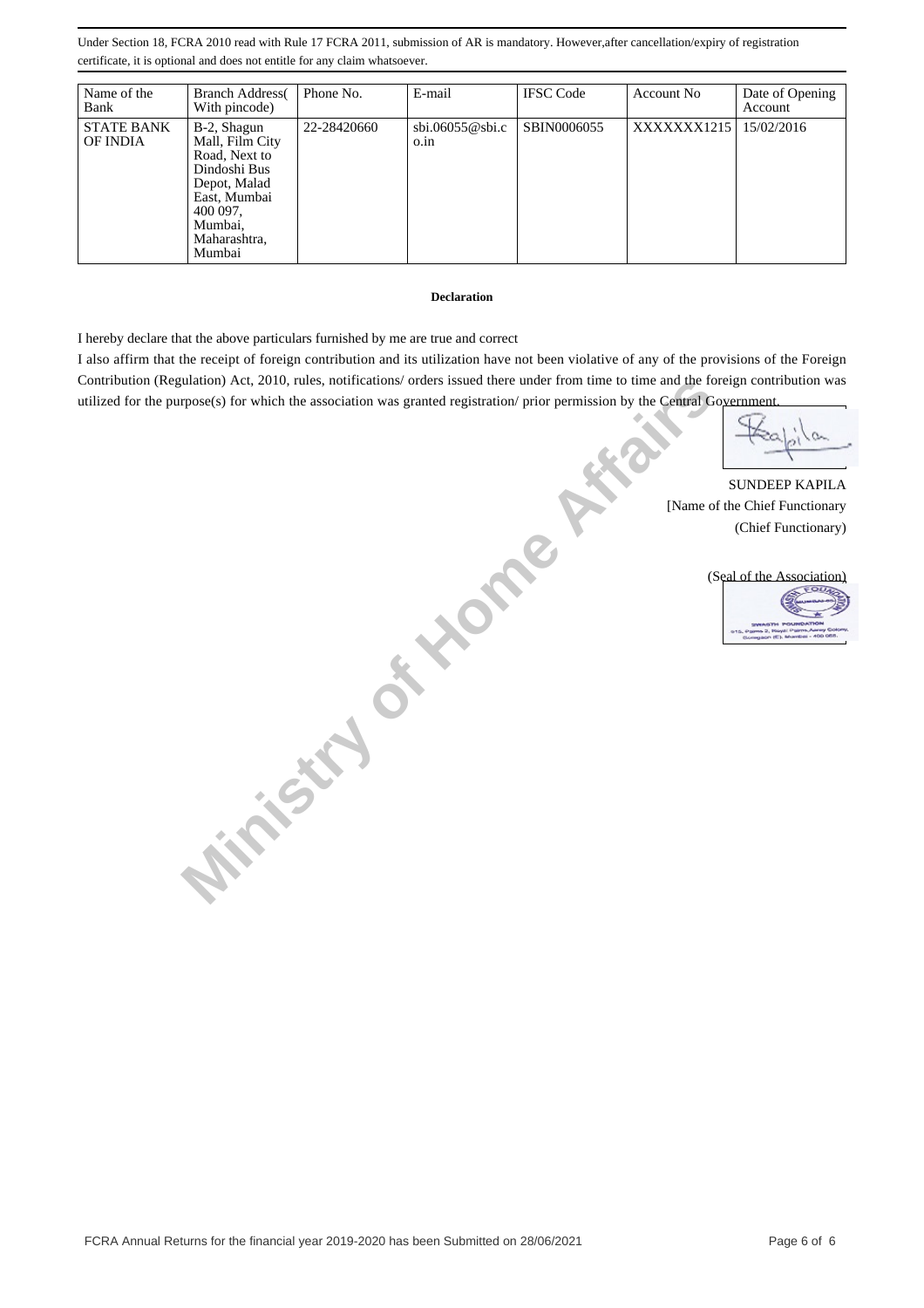| Name of the<br>Bank           | <b>Branch Address</b><br>With pincode)                                                                                                           | Phone No.   | E-mail                                        | <b>IFSC</b> Code | Account No  | Date of Opening<br>Account |
|-------------------------------|--------------------------------------------------------------------------------------------------------------------------------------------------|-------------|-----------------------------------------------|------------------|-------------|----------------------------|
| <b>STATE BANK</b><br>OF INDIA | B-2, Shagun<br>Mall, Film City<br>Road, Next to<br>Dindoshi Bus<br>Depot, Malad<br>East, Mumbai<br>400 097,<br>Mumbai,<br>Maharashtra,<br>Mumbai | 22-28420660 | $\text{sbi.06055@sbi.c}$<br>$0.\overline{1}n$ | SBIN0006055      | XXXXXXX1215 | 15/02/2016                 |

#### **Declaration**

I hereby declare that the above particulars furnished by me are true and correct

I also affirm that the receipt of foreign contribution and its utilization have not been violative of any of the provisions of the Foreign Contribution (Regulation) Act, 2010, rules, notifications/ orders issued there under from time to time and the foreign contribution was utilized for the purpose(s) for which the association was granted registration/ prior permission by the Central Government.

**Ministry of Home A.** 

SUNDEEP KAPILA [Name of the Chief Functionary (Chief Functionary)

(Seal of the Association)

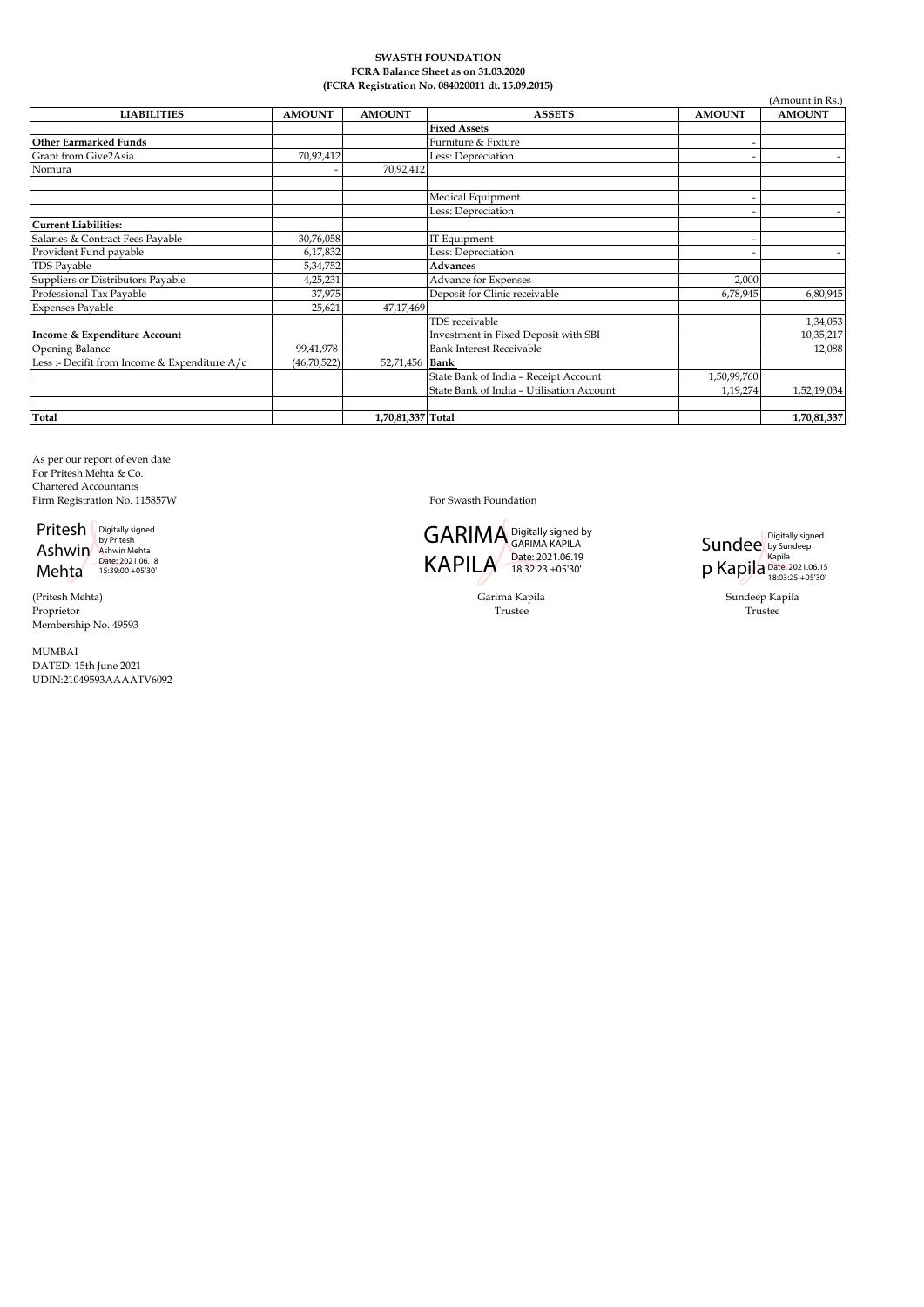#### **SWASTH FOUNDATION FCRA Balance Sheet as on 31.03.2020 (FCRA Registration No. 084020011 dt. 15.09.2015)**

|                                               |               |                   | (FCRA Registration No. 084020011 dt. 15.09.2015) |               |                 |
|-----------------------------------------------|---------------|-------------------|--------------------------------------------------|---------------|-----------------|
|                                               |               |                   |                                                  |               | (Amount in Rs.) |
| <b>LIABILITIES</b>                            | <b>AMOUNT</b> | <b>AMOUNT</b>     | <b>ASSETS</b>                                    | <b>AMOUNT</b> | <b>AMOUNT</b>   |
|                                               |               |                   | <b>Fixed Assets</b>                              |               |                 |
| <b>Other Earmarked Funds</b>                  |               |                   | Furniture & Fixture                              |               |                 |
| Grant from Give2Asia                          | 70,92,412     |                   | Less: Depreciation                               |               |                 |
| Nomura                                        |               | 70,92,412         |                                                  |               |                 |
|                                               |               |                   | Medical Equipment                                |               |                 |
|                                               |               |                   | Less: Depreciation                               |               |                 |
| <b>Current Liabilities:</b>                   |               |                   |                                                  |               |                 |
| Salaries & Contract Fees Payable              | 30,76,058     |                   | IT Equipment                                     |               |                 |
| Provident Fund payable                        | 6,17,832      |                   | Less: Depreciation                               |               |                 |
| <b>TDS Payable</b>                            | 5,34,752      |                   | <b>Advances</b>                                  |               |                 |
| Suppliers or Distributors Payable             | 4,25,231      |                   | <b>Advance for Expenses</b>                      | 2,000         |                 |
| Professional Tax Payable                      | 37,975        |                   | Deposit for Clinic receivable                    | 6,78,945      | 6,80,945        |
| <b>Expenses Payable</b>                       | 25,621        | 47,17,469         |                                                  |               |                 |
|                                               |               |                   | TDS receivable                                   |               | 1,34,053        |
| Income & Expenditure Account                  |               |                   | Investment in Fixed Deposit with SBI             |               | 10,35,217       |
| Opening Balance                               | 99,41,978     |                   | <b>Bank Interest Receivable</b>                  |               | 12,088          |
| Less :- Decifit from Income & Expenditure A/c | (46, 70, 522) | 52,71,456 Bank    |                                                  |               |                 |
|                                               |               |                   | State Bank of India - Receipt Account            | 1,50,99,760   |                 |
|                                               |               |                   | State Bank of India - Utilisation Account        | 1,19,274      | 1,52,19,034     |
|                                               |               |                   |                                                  |               |                 |
| Total                                         |               | 1,70,81,337 Total |                                                  |               | 1,70,81,337     |

As per our report of even date For Pritesh Mehta & Co. Chartered Accountants Firm Registration No. 115857W For Swasth Foundation

Pritesh Ashwin Mehta Digitally signed by Pritesh Ashwin Mehta Date: 2021.06.18 15:39:00 +05'30'

(Pritesh Mehta) Proprietor Membership No. 49593

MUMBAI DATED: 15th June 2021 UDIN:21049593AAAATV6092

GARIMA Digitally signed by KAPILA Date: 2021.06.19 GARIMA KAPILA 18:32:23 +05'30'

**Sundee** p Kapila Digitally signed by Sundeep Kapila Date: 2021.06.15 18:03:25 +05'30'

Trustee Trustee Trustee Garima Kapila **Sundeep Kapila** Sundeep Kapila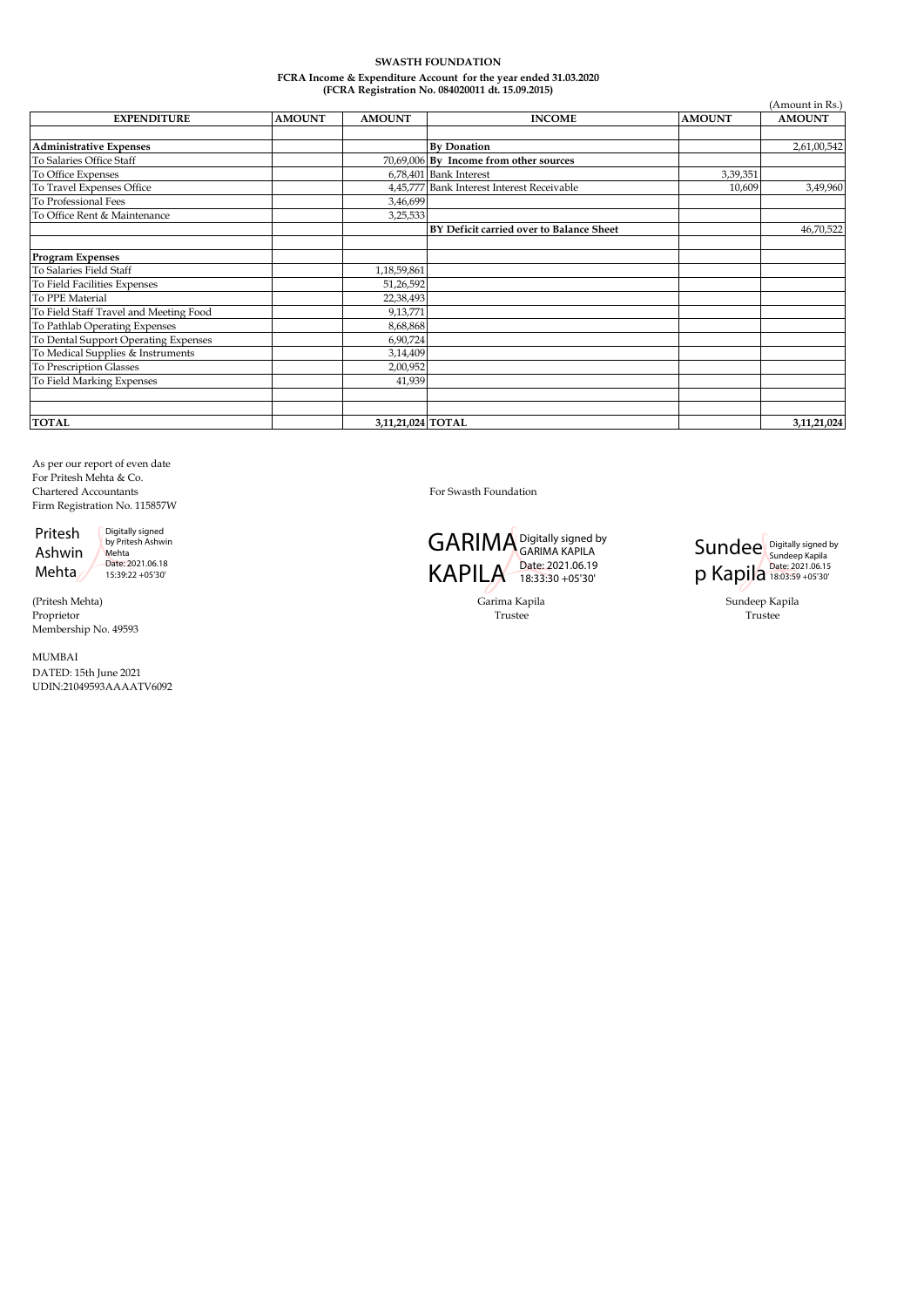# **SWASTH FOUNDATION FCRA Income & Expenditure Account for the year ended 31.03.2020 (FCRA Registration No. 084020011 dt. 15.09.2015)**

| (Amount in Rs.)                        |               |                   |                                            |               |               |  |
|----------------------------------------|---------------|-------------------|--------------------------------------------|---------------|---------------|--|
| <b>EXPENDITURE</b>                     | <b>AMOUNT</b> | <b>AMOUNT</b>     | <b>INCOME</b>                              | <b>AMOUNT</b> | <b>AMOUNT</b> |  |
| <b>Administrative Expenses</b>         |               |                   | <b>By Donation</b>                         |               | 2,61,00,542   |  |
| To Salaries Office Staff               |               |                   | 70,69,006 By Income from other sources     |               |               |  |
| To Office Expenses                     |               |                   | 6,78,401 Bank Interest                     | 3,39,351      |               |  |
| To Travel Expenses Office              |               |                   | 4,45,777 Bank Interest Interest Receivable | 10,609        | 3,49,960      |  |
| <b>To Professional Fees</b>            |               | 3,46,699          |                                            |               |               |  |
| To Office Rent & Maintenance           |               | 3,25,533          |                                            |               |               |  |
|                                        |               |                   | BY Deficit carried over to Balance Sheet   |               | 46,70,522     |  |
| <b>Program Expenses</b>                |               |                   |                                            |               |               |  |
| To Salaries Field Staff                |               | 1,18,59,861       |                                            |               |               |  |
| To Field Facilities Expenses           |               | 51,26,592         |                                            |               |               |  |
| To PPE Material                        |               | 22,38,493         |                                            |               |               |  |
| To Field Staff Travel and Meeting Food |               | 9,13,771          |                                            |               |               |  |
| To Pathlab Operating Expenses          |               | 8,68,868          |                                            |               |               |  |
| To Dental Support Operating Expenses   |               | 6,90,724          |                                            |               |               |  |
| To Medical Supplies & Instruments      |               | 3,14,409          |                                            |               |               |  |
| To Prescription Glasses                |               | 2,00,952          |                                            |               |               |  |
| To Field Marking Expenses              |               | 41,939            |                                            |               |               |  |
|                                        |               |                   |                                            |               |               |  |
| <b>TOTAL</b>                           |               | 3,11,21,024 TOTAL |                                            |               | 3,11,21,024   |  |

As per our report of even date For Pritesh Mehta & Co. Chartered Accountants For Swasth Foundation Firm Registration No. 115857W

Pritesh Ashwin

Mehta Digitally signed by Pritesh Ashwin Mehta Date: 2021.06.18 15:39:22 +05'30'

(Pritesh Mehta) Proprietor Membership No. 49593

MUMBAI DATED: 15th June 2021 UDIN:21049593AAAATV6092



Garima Kapila Sundeep Kapila



Trustee Trustee